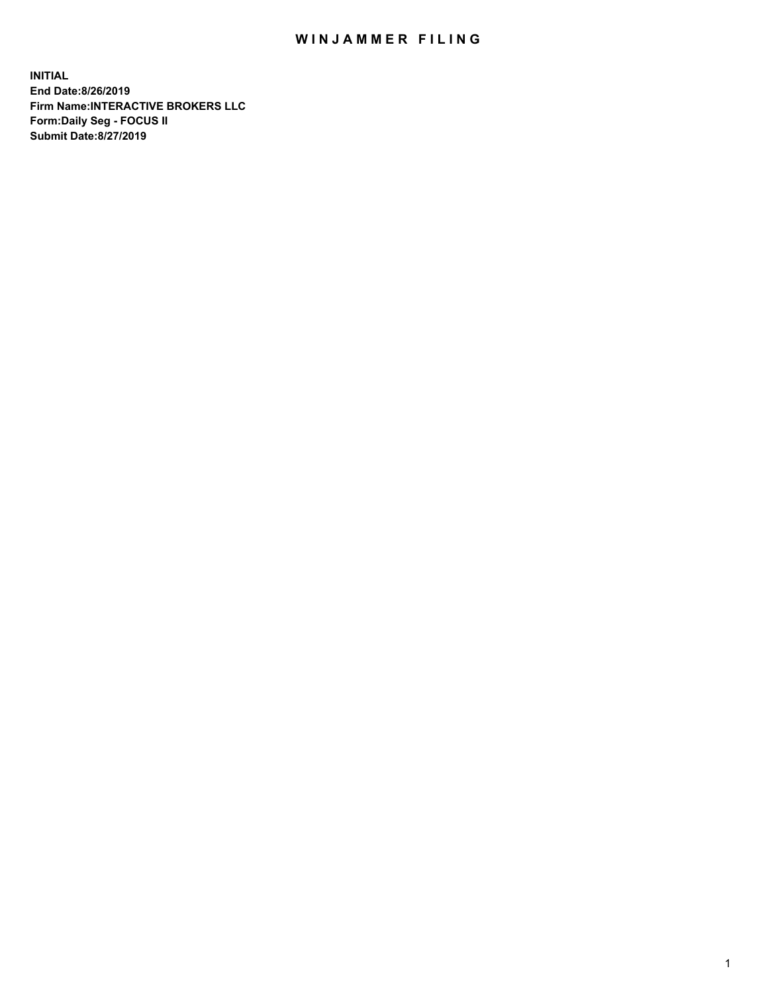## WIN JAMMER FILING

**INITIAL End Date:8/26/2019 Firm Name:INTERACTIVE BROKERS LLC Form:Daily Seg - FOCUS II Submit Date:8/27/2019**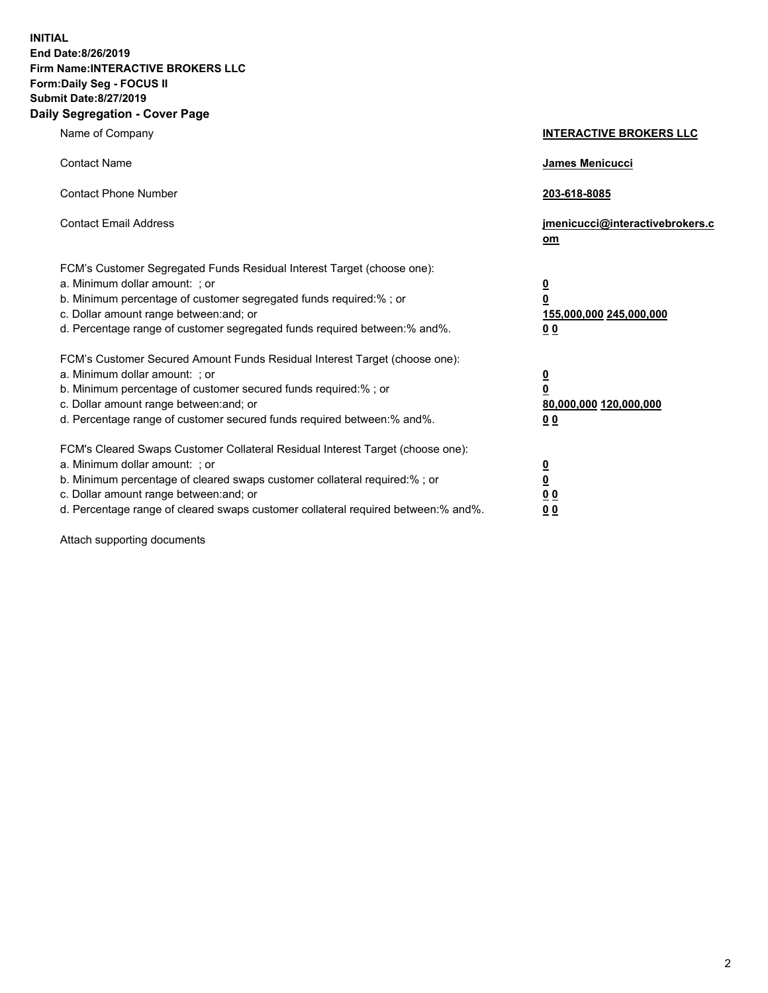**INITIAL End Date:8/26/2019 Firm Name:INTERACTIVE BROKERS LLC Form:Daily Seg - FOCUS II Submit Date:8/27/2019 Daily Segregation - Cover Page**

| Name of Company                                                                                                                                                                                                                                                                                                                | <b>INTERACTIVE BROKERS LLC</b>                                                   |
|--------------------------------------------------------------------------------------------------------------------------------------------------------------------------------------------------------------------------------------------------------------------------------------------------------------------------------|----------------------------------------------------------------------------------|
| <b>Contact Name</b>                                                                                                                                                                                                                                                                                                            | James Menicucci                                                                  |
| <b>Contact Phone Number</b>                                                                                                                                                                                                                                                                                                    | 203-618-8085                                                                     |
| <b>Contact Email Address</b>                                                                                                                                                                                                                                                                                                   | jmenicucci@interactivebrokers.c<br>om                                            |
| FCM's Customer Segregated Funds Residual Interest Target (choose one):<br>a. Minimum dollar amount: ; or<br>b. Minimum percentage of customer segregated funds required:% ; or<br>c. Dollar amount range between: and; or<br>d. Percentage range of customer segregated funds required between:% and%.                         | <u>0</u><br>$\overline{\mathbf{0}}$<br>155,000,000 245,000,000<br>0 <sub>0</sub> |
| FCM's Customer Secured Amount Funds Residual Interest Target (choose one):<br>a. Minimum dollar amount: ; or<br>b. Minimum percentage of customer secured funds required:% ; or<br>c. Dollar amount range between: and; or<br>d. Percentage range of customer secured funds required between:% and%.                           | <u>0</u><br>$\overline{\mathbf{0}}$<br>80,000,000 120,000,000<br>0 <sub>0</sub>  |
| FCM's Cleared Swaps Customer Collateral Residual Interest Target (choose one):<br>a. Minimum dollar amount: ; or<br>b. Minimum percentage of cleared swaps customer collateral required:% ; or<br>c. Dollar amount range between: and; or<br>d. Percentage range of cleared swaps customer collateral required between:% and%. | <u>0</u><br>$\underline{\mathbf{0}}$<br>0 <sub>0</sub><br>0 <sub>0</sub>         |

Attach supporting documents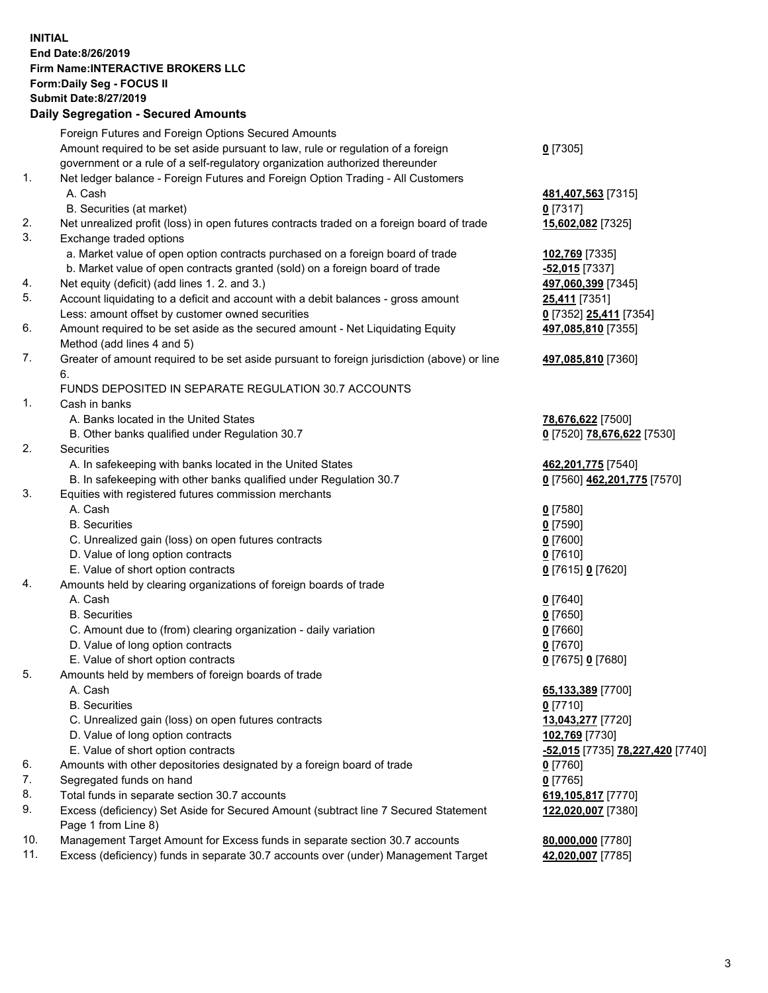## **INITIAL End Date:8/26/2019 Firm Name:INTERACTIVE BROKERS LLC Form:Daily Seg - FOCUS II Submit Date:8/27/2019 Daily Segregation - Secured Amounts**

|     | Dany Ocgregation - Occarea Anioants                                                                                                                               |                                                      |
|-----|-------------------------------------------------------------------------------------------------------------------------------------------------------------------|------------------------------------------------------|
|     | Foreign Futures and Foreign Options Secured Amounts                                                                                                               |                                                      |
|     | Amount required to be set aside pursuant to law, rule or regulation of a foreign                                                                                  | $0$ [7305]                                           |
|     | government or a rule of a self-regulatory organization authorized thereunder                                                                                      |                                                      |
| 1.  | Net ledger balance - Foreign Futures and Foreign Option Trading - All Customers                                                                                   |                                                      |
|     | A. Cash                                                                                                                                                           | 481,407,563 [7315]                                   |
|     | B. Securities (at market)                                                                                                                                         | $0$ [7317]                                           |
| 2.  | Net unrealized profit (loss) in open futures contracts traded on a foreign board of trade                                                                         | 15,602,082 [7325]                                    |
| 3.  | Exchange traded options                                                                                                                                           |                                                      |
|     | a. Market value of open option contracts purchased on a foreign board of trade                                                                                    | 102,769 [7335]                                       |
|     | b. Market value of open contracts granted (sold) on a foreign board of trade                                                                                      | $-52,015$ [7337]                                     |
| 4.  | Net equity (deficit) (add lines 1. 2. and 3.)                                                                                                                     | 497,060,399 [7345]                                   |
| 5.  | Account liquidating to a deficit and account with a debit balances - gross amount                                                                                 | <b>25,411</b> [7351]                                 |
|     | Less: amount offset by customer owned securities                                                                                                                  | 0 [7352] 25,411 [7354]                               |
| 6.  | Amount required to be set aside as the secured amount - Net Liquidating Equity                                                                                    | 497,085,810 [7355]                                   |
|     | Method (add lines 4 and 5)                                                                                                                                        |                                                      |
| 7.  | Greater of amount required to be set aside pursuant to foreign jurisdiction (above) or line                                                                       | 497,085,810 [7360]                                   |
|     | 6.                                                                                                                                                                |                                                      |
|     | FUNDS DEPOSITED IN SEPARATE REGULATION 30.7 ACCOUNTS                                                                                                              |                                                      |
| 1.  | Cash in banks                                                                                                                                                     |                                                      |
|     | A. Banks located in the United States                                                                                                                             | 78,676,622 [7500]                                    |
|     | B. Other banks qualified under Regulation 30.7                                                                                                                    | 0 [7520] 78,676,622 [7530]                           |
| 2.  | Securities                                                                                                                                                        |                                                      |
|     | A. In safekeeping with banks located in the United States                                                                                                         | 462,201,775 [7540]                                   |
|     | B. In safekeeping with other banks qualified under Regulation 30.7                                                                                                | 0 [7560] 462,201,775 [7570]                          |
| 3.  | Equities with registered futures commission merchants                                                                                                             |                                                      |
|     | A. Cash                                                                                                                                                           | $0$ [7580]                                           |
|     | <b>B.</b> Securities                                                                                                                                              | $0$ [7590]                                           |
|     | C. Unrealized gain (loss) on open futures contracts                                                                                                               | $0$ [7600]                                           |
|     | D. Value of long option contracts                                                                                                                                 | $0$ [7610]                                           |
|     | E. Value of short option contracts                                                                                                                                | 0 [7615] 0 [7620]                                    |
| 4.  | Amounts held by clearing organizations of foreign boards of trade                                                                                                 |                                                      |
|     | A. Cash                                                                                                                                                           | $0$ [7640]                                           |
|     | <b>B.</b> Securities                                                                                                                                              | $0$ [7650]                                           |
|     | C. Amount due to (from) clearing organization - daily variation                                                                                                   | $0$ [7660]                                           |
|     | D. Value of long option contracts                                                                                                                                 | $0$ [7670]                                           |
|     | E. Value of short option contracts                                                                                                                                | 0 [7675] 0 [7680]                                    |
| 5.  | Amounts held by members of foreign boards of trade                                                                                                                |                                                      |
|     | A. Cash                                                                                                                                                           | 65,133,389 [7700]                                    |
|     | <b>B.</b> Securities                                                                                                                                              | $0$ [7710]                                           |
|     | C. Unrealized gain (loss) on open futures contracts                                                                                                               | 13,043,277 [7720]                                    |
|     | D. Value of long option contracts                                                                                                                                 | 102,769 [7730]                                       |
|     | E. Value of short option contracts                                                                                                                                | <mark>-52,015</mark> [7735] <b>78,227,420</b> [7740] |
| 6.  | Amounts with other depositories designated by a foreign board of trade                                                                                            | $0$ [7760]                                           |
| 7.  | Segregated funds on hand                                                                                                                                          | $0$ [7765]                                           |
| 8.  | Total funds in separate section 30.7 accounts                                                                                                                     | 619,105,817 [7770]                                   |
| 9.  | Excess (deficiency) Set Aside for Secured Amount (subtract line 7 Secured Statement                                                                               | 122,020,007 [7380]                                   |
| 10. | Page 1 from Line 8)                                                                                                                                               |                                                      |
| 11. | Management Target Amount for Excess funds in separate section 30.7 accounts<br>Excess (deficiency) funds in separate 30.7 accounts over (under) Management Target | 80,000,000 [7780]                                    |
|     |                                                                                                                                                                   | 42,020,007 [7785]                                    |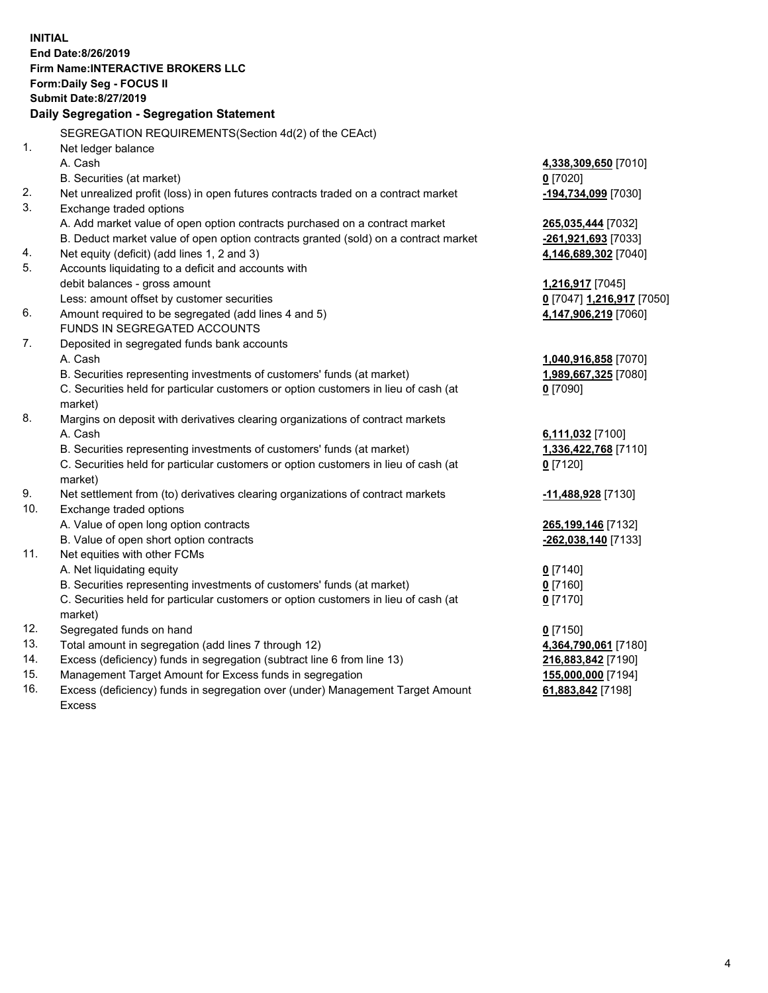**INITIAL End Date:8/26/2019 Firm Name:INTERACTIVE BROKERS LLC Form:Daily Seg - FOCUS II Submit Date:8/27/2019 Daily Segregation - Segregation Statement** SEGREGATION REQUIREMENTS(Section 4d(2) of the CEAct) 1. Net ledger balance A. Cash **4,338,309,650** [7010] B. Securities (at market) **0** [7020] 2. Net unrealized profit (loss) in open futures contracts traded on a contract market **-194,734,099** [7030] 3. Exchange traded options A. Add market value of open option contracts purchased on a contract market **265,035,444** [7032] B. Deduct market value of open option contracts granted (sold) on a contract market **-261,921,693** [7033] 4. Net equity (deficit) (add lines 1, 2 and 3) **4,146,689,302** [7040] 5. Accounts liquidating to a deficit and accounts with debit balances - gross amount **1,216,917** [7045] Less: amount offset by customer securities **0** [7047] **1,216,917** [7050] 6. Amount required to be segregated (add lines 4 and 5) **4,147,906,219** [7060] FUNDS IN SEGREGATED ACCOUNTS 7. Deposited in segregated funds bank accounts A. Cash **1,040,916,858** [7070] B. Securities representing investments of customers' funds (at market) **1,989,667,325** [7080] C. Securities held for particular customers or option customers in lieu of cash (at market) **0** [7090] 8. Margins on deposit with derivatives clearing organizations of contract markets A. Cash **6,111,032** [7100] B. Securities representing investments of customers' funds (at market) **1,336,422,768** [7110] C. Securities held for particular customers or option customers in lieu of cash (at market) **0** [7120] 9. Net settlement from (to) derivatives clearing organizations of contract markets **-11,488,928** [7130] 10. Exchange traded options A. Value of open long option contracts **265,199,146** [7132] B. Value of open short option contracts **-262,038,140** [7133] 11. Net equities with other FCMs A. Net liquidating equity **0** [7140] B. Securities representing investments of customers' funds (at market) **0** [7160] C. Securities held for particular customers or option customers in lieu of cash (at market) **0** [7170] 12. Segregated funds on hand **0** [7150] 13. Total amount in segregation (add lines 7 through 12) **4,364,790,061** [7180] 14. Excess (deficiency) funds in segregation (subtract line 6 from line 13) **216,883,842** [7190] 15. Management Target Amount for Excess funds in segregation **155,000,000** [7194] **61,883,842** [7198]

16. Excess (deficiency) funds in segregation over (under) Management Target Amount Excess